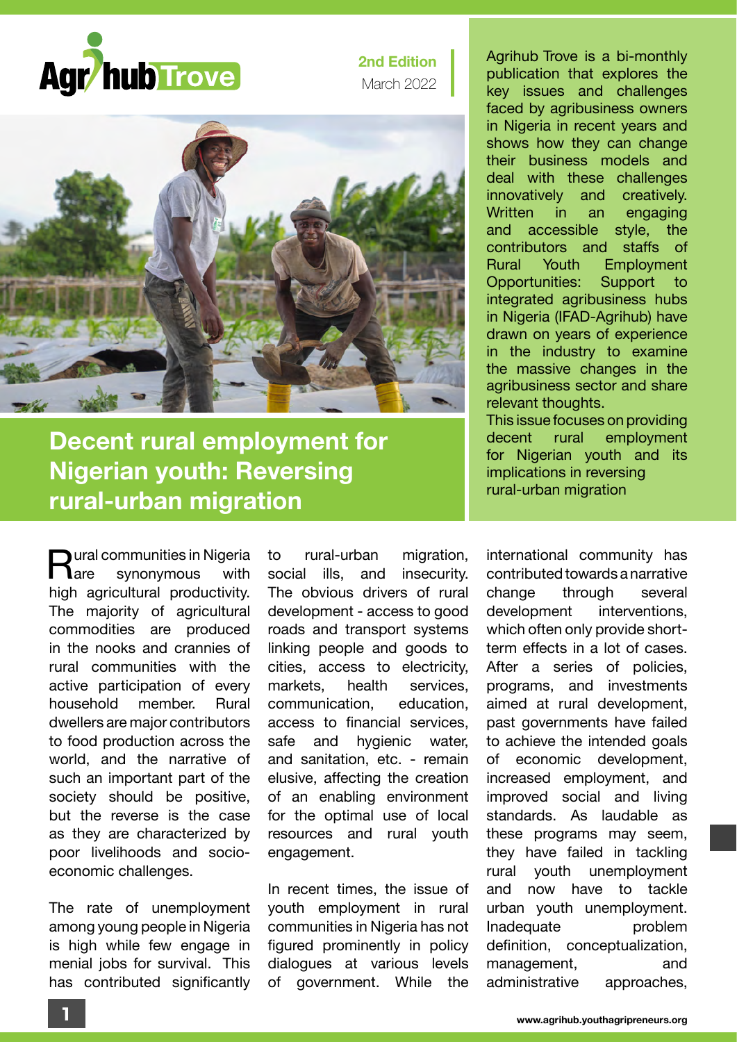

**2nd Edition** March 2022



## **Decent rural employment for Nigerian youth: Reversing rural-urban migration**

 $\sum_{\text{area}}$  ural communities in Nigeria<br> $\sum_{\text{area}}$ synonymous high agricultural productivity. The majority of agricultural commodities are produced in the nooks and crannies of rural communities with the active participation of every household member. Rural dwellers are major contributors to food production across the world, and the narrative of such an important part of the society should be positive, but the reverse is the case as they are characterized by poor livelihoods and socioeconomic challenges.

The rate of unemployment among young people in Nigeria is high while few engage in menial jobs for survival. This has contributed significantly to rural-urban migration, social ills, and insecurity. The obvious drivers of rural development - access to good roads and transport systems linking people and goods to cities, access to electricity, markets, health services, communication, education, access to financial services, safe and hygienic water, and sanitation, etc. - remain elusive, affecting the creation of an enabling environment for the optimal use of local resources and rural youth engagement.

In recent times, the issue of youth employment in rural communities in Nigeria has not figured prominently in policy dialogues at various levels of government. While the

Agrihub Trove is a bi-monthly publication that explores the key issues and challenges faced by agribusiness owners in Nigeria in recent years and shows how they can change their business models and deal with these challenges innovatively and creatively. Written in an engaging and accessible style, the contributors and staffs of Rural Youth Employment Opportunities: Support to integrated agribusiness hubs in Nigeria (IFAD-Agrihub) have drawn on years of experience in the industry to examine the massive changes in the agribusiness sector and share relevant thoughts. This issue focuses on providing

decent rural employment for Nigerian youth and its implications in reversing rural-urban migration

international community has contributed towards a narrative change through several development interventions, which often only provide shortterm effects in a lot of cases. After a series of policies, programs, and investments aimed at rural development, past governments have failed to achieve the intended goals of economic development, increased employment, and improved social and living standards. As laudable as these programs may seem, they have failed in tackling rural youth unemployment and now have to tackle urban youth unemployment. Inadequate problem definition, conceptualization, management, and administrative approaches,